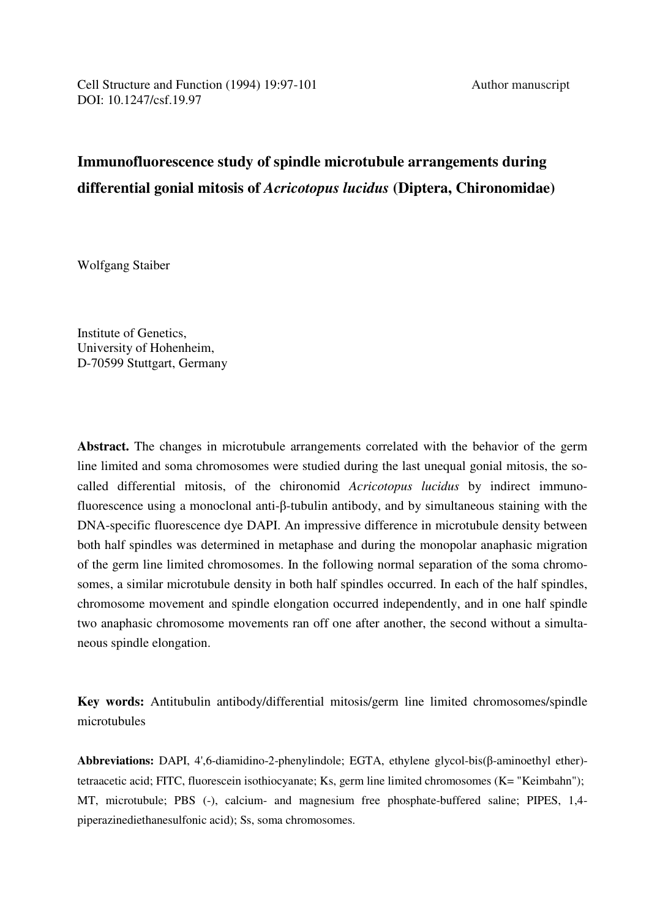# **Immunofluorescence study of spindle microtubule arrangements during differential gonial mitosis of** *Acricotopus lucidus* **(Diptera, Chironomidae)**

Wolfgang Staiber

Institute of Genetics, University of Hohenheim, D-70599 Stuttgart, Germany

**Abstract.** The changes in microtubule arrangements correlated with the behavior of the germ line limited and soma chromosomes were studied during the last unequal gonial mitosis, the socalled differential mitosis, of the chironomid *Acricotopus lucidus* by indirect immunofluorescence using a monoclonal anti-β-tubulin antibody, and by simultaneous staining with the DNA-specific fluorescence dye DAPI. An impressive difference in microtubule density between both half spindles was determined in metaphase and during the monopolar anaphasic migration of the germ line limited chromosomes. In the following normal separation of the soma chromosomes, a similar microtubule density in both half spindles occurred. In each of the half spindles, chromosome movement and spindle elongation occurred independently, and in one half spindle two anaphasic chromosome movements ran off one after another, the second without a simultaneous spindle elongation.

**Key words:** Antitubulin antibody/differential mitosis/germ line limited chromosomes/spindle microtubules

**Abbreviations:** DAPI, 4',6-diamidino-2-phenylindole; EGTA, ethylene glycol-bis(β-aminoethyl ether) tetraacetic acid; FITC, fluorescein isothiocyanate; Ks, germ line limited chromosomes (K= "Keimbahn"); MT, microtubule; PBS (-), calcium- and magnesium free phosphate-buffered saline; PIPES, 1,4 piperazinediethanesulfonic acid); Ss, soma chromosomes.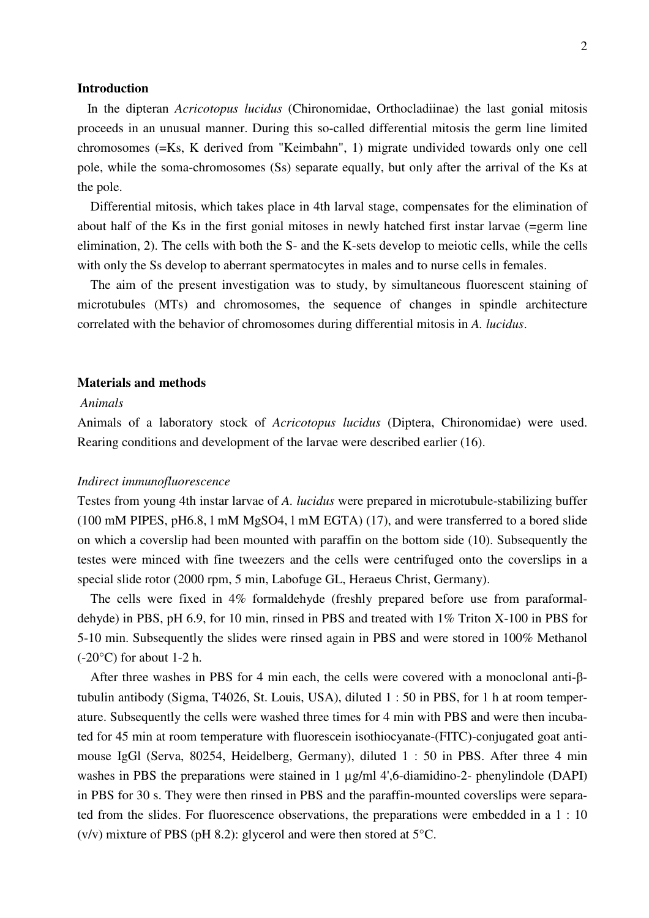# **Introduction**

 In the dipteran *Acricotopus lucidus* (Chironomidae, Orthocladiinae) the last gonial mitosis proceeds in an unusual manner. During this so-called differential mitosis the germ line limited chromosomes (=Ks, K derived from "Keimbahn", 1) migrate undivided towards only one cell pole, while the soma-chromosomes (Ss) separate equally, but only after the arrival of the Ks at the pole.

 Differential mitosis, which takes place in 4th larval stage, compensates for the elimination of about half of the Ks in the first gonial mitoses in newly hatched first instar larvae (=germ line elimination, 2). The cells with both the S- and the K-sets develop to meiotic cells, while the cells with only the Ss develop to aberrant spermatocytes in males and to nurse cells in females.

 The aim of the present investigation was to study, by simultaneous fluorescent staining of microtubules (MTs) and chromosomes, the sequence of changes in spindle architecture correlated with the behavior of chromosomes during differential mitosis in *A. lucidus*.

## **Materials and methods**

# *Animals*

Animals of a laboratory stock of *Acricotopus lucidus* (Diptera, Chironomidae) were used. Rearing conditions and development of the larvae were described earlier (16).

#### *Indirect immunofluorescence*

Testes from young 4th instar larvae of *A. lucidus* were prepared in microtubule-stabilizing buffer (100 mM PIPES, pH6.8, l mM MgSO4, l mM EGTA) (17), and were transferred to a bored slide on which a coverslip had been mounted with paraffin on the bottom side (10). Subsequently the testes were minced with fine tweezers and the cells were centrifuged onto the coverslips in a special slide rotor (2000 rpm, 5 min, Labofuge GL, Heraeus Christ, Germany).

 The cells were fixed in 4% formaldehyde (freshly prepared before use from paraformaldehyde) in PBS, pH 6.9, for 10 min, rinsed in PBS and treated with 1% Triton X-100 in PBS for 5-10 min. Subsequently the slides were rinsed again in PBS and were stored in 100% Methanol  $(-20^{\circ}C)$  for about 1-2 h.

 After three washes in PBS for 4 min each, the cells were covered with a monoclonal anti-βtubulin antibody (Sigma, T4026, St. Louis, USA), diluted 1 : 50 in PBS, for 1 h at room temperature. Subsequently the cells were washed three times for 4 min with PBS and were then incubated for 45 min at room temperature with fluorescein isothiocyanate-(FITC)-conjugated goat antimouse IgGl (Serva, 80254, Heidelberg, Germany), diluted 1 : 50 in PBS. After three 4 min washes in PBS the preparations were stained in 1  $\mu$ g/ml 4',6-diamidino-2- phenylindole (DAPI) in PBS for 30 s. They were then rinsed in PBS and the paraffin-mounted coverslips were separated from the slides. For fluorescence observations, the preparations were embedded in a 1 : 10  $(v/v)$  mixture of PBS (pH 8.2): glycerol and were then stored at 5<sup>o</sup>C.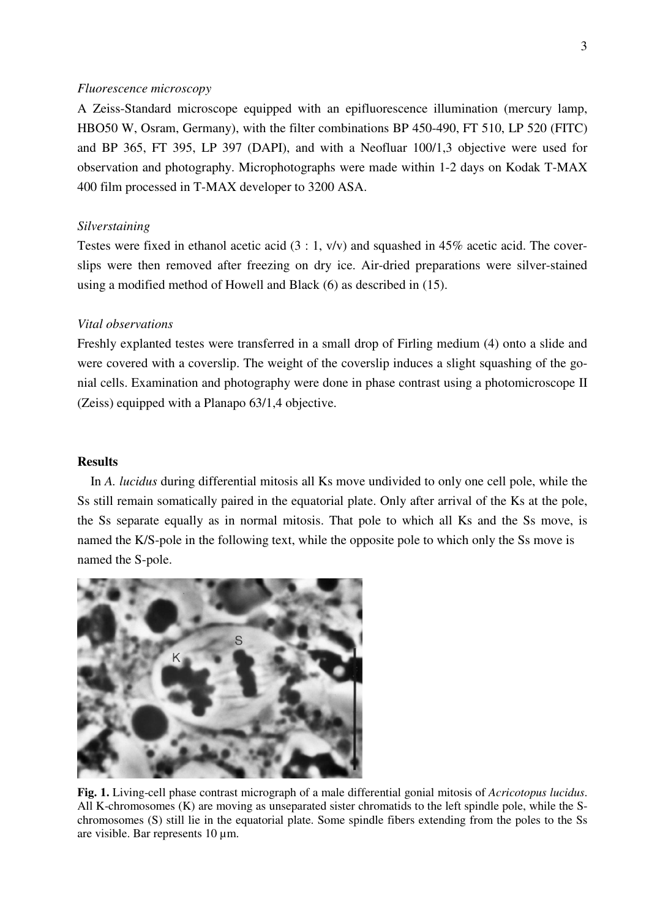# *Fluorescence microscopy*

A Zeiss-Standard microscope equipped with an epifluorescence illumination (mercury lamp, HBO50 W, Osram, Germany), with the filter combinations BP 450-490, FT 510, LP 520 (FITC) and BP 365, FT 395, LP 397 (DAPI), and with a Neofluar 100/1,3 objective were used for observation and photography. Microphotographs were made within 1-2 days on Kodak T-MAX 400 film processed in T-MAX developer to 3200 ASA.

#### *Silverstaining*

Testes were fixed in ethanol acetic acid (3 : 1, v/v) and squashed in 45% acetic acid. The coverslips were then removed after freezing on dry ice. Air-dried preparations were silver-stained using a modified method of Howell and Black (6) as described in (15).

# *Vital observations*

Freshly explanted testes were transferred in a small drop of Firling medium (4) onto a slide and were covered with a coverslip. The weight of the coverslip induces a slight squashing of the gonial cells. Examination and photography were done in phase contrast using a photomicroscope II (Zeiss) equipped with a Planapo 63/1,4 objective.

# **Results**

 In *A. lucidus* during differential mitosis all Ks move undivided to only one cell pole, while the Ss still remain somatically paired in the equatorial plate. Only after arrival of the Ks at the pole, the Ss separate equally as in normal mitosis. That pole to which all Ks and the Ss move, is named the K/S-pole in the following text, while the opposite pole to which only the Ss move is named the S-pole.



**Fig. 1.** Living-cell phase contrast micrograph of a male differential gonial mitosis of *Acricotopus lucidus*. All K-chromosomes (K) are moving as unseparated sister chromatids to the left spindle pole, while the Schromosomes (S) still lie in the equatorial plate. Some spindle fibers extending from the poles to the Ss are visible. Bar represents 10 µm.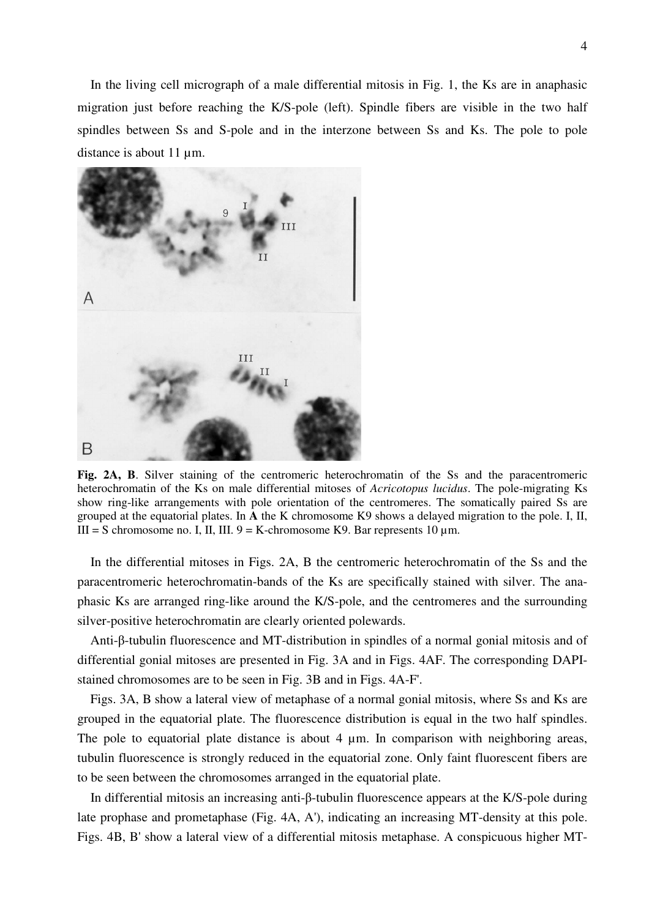In the living cell micrograph of a male differential mitosis in Fig. 1, the Ks are in anaphasic migration just before reaching the K/S-pole (left). Spindle fibers are visible in the two half spindles between Ss and S-pole and in the interzone between Ss and Ks. The pole to pole distance is about 11  $\mu$ m.



**Fig. 2A, B**. Silver staining of the centromeric heterochromatin of the Ss and the paracentromeric heterochromatin of the Ks on male differential mitoses of *Acricotopus lucidus*. The pole-migrating Ks show ring-like arrangements with pole orientation of the centromeres. The somatically paired Ss are grouped at the equatorial plates. In **A** the K chromosome K9 shows a delayed migration to the pole. I, II, III = S chromosome no. I, II, III.  $9 = K$ -chromosome K9. Bar represents 10  $\mu$ m.

 In the differential mitoses in Figs. 2A, B the centromeric heterochromatin of the Ss and the paracentromeric heterochromatin-bands of the Ks are specifically stained with silver. The anaphasic Ks are arranged ring-like around the K/S-pole, and the centromeres and the surrounding silver-positive heterochromatin are clearly oriented polewards.

 Anti-β-tubulin fluorescence and MT-distribution in spindles of a normal gonial mitosis and of differential gonial mitoses are presented in Fig. 3A and in Figs. 4AF. The corresponding DAPIstained chromosomes are to be seen in Fig. 3B and in Figs. 4A-F'.

 Figs. 3A, B show a lateral view of metaphase of a normal gonial mitosis, where Ss and Ks are grouped in the equatorial plate. The fluorescence distribution is equal in the two half spindles. The pole to equatorial plate distance is about 4  $\mu$ m. In comparison with neighboring areas, tubulin fluorescence is strongly reduced in the equatorial zone. Only faint fluorescent fibers are to be seen between the chromosomes arranged in the equatorial plate.

 In differential mitosis an increasing anti-β-tubulin fluorescence appears at the K/S-pole during late prophase and prometaphase (Fig. 4A, A'), indicating an increasing MT-density at this pole. Figs. 4B, B' show a lateral view of a differential mitosis metaphase. A conspicuous higher MT-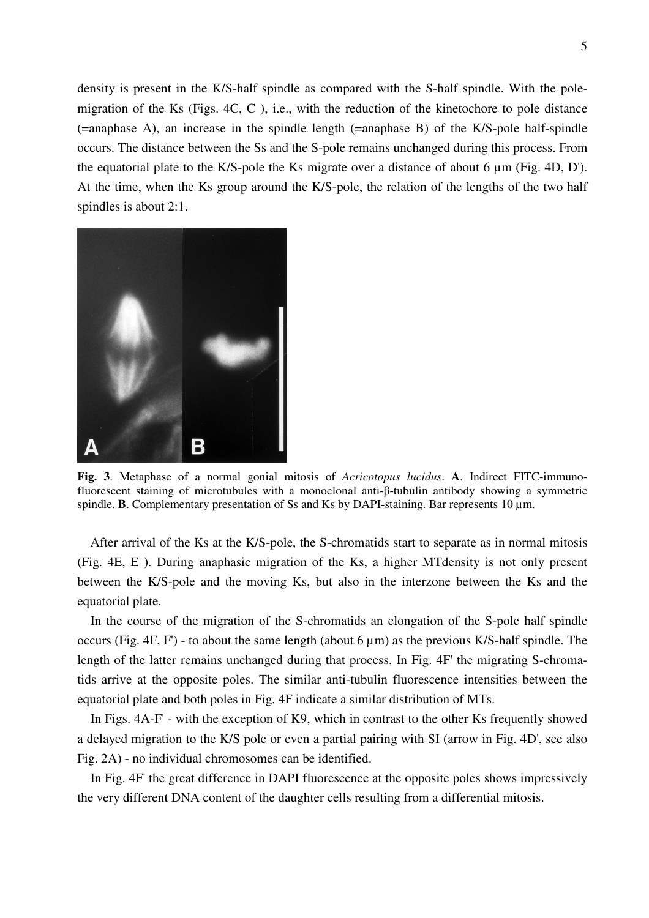density is present in the K/S-half spindle as compared with the S-half spindle. With the polemigration of the Ks (Figs. 4C, C ), i.e., with the reduction of the kinetochore to pole distance (=anaphase A), an increase in the spindle length (=anaphase B) of the K/S-pole half-spindle occurs. The distance between the Ss and the S-pole remains unchanged during this process. From the equatorial plate to the K/S-pole the Ks migrate over a distance of about 6 µm (Fig. 4D, D'). At the time, when the Ks group around the K/S-pole, the relation of the lengths of the two half spindles is about 2:1.



**Fig. 3**. Metaphase of a normal gonial mitosis of *Acricotopus lucidus*. **A**. Indirect FITC-immunofluorescent staining of microtubules with a monoclonal anti-β-tubulin antibody showing a symmetric spindle. **B**. Complementary presentation of Ss and Ks by DAPI-staining. Bar represents 10  $\mu$ m.

 After arrival of the Ks at the K/S-pole, the S-chromatids start to separate as in normal mitosis (Fig. 4E, E ). During anaphasic migration of the Ks, a higher MTdensity is not only present between the K/S-pole and the moving Ks, but also in the interzone between the Ks and the equatorial plate.

 In the course of the migration of the S-chromatids an elongation of the S-pole half spindle occurs (Fig. 4F, F') - to about the same length (about  $6 \mu m$ ) as the previous K/S-half spindle. The length of the latter remains unchanged during that process. In Fig. 4F' the migrating S-chromatids arrive at the opposite poles. The similar anti-tubulin fluorescence intensities between the equatorial plate and both poles in Fig. 4F indicate a similar distribution of MTs.

 In Figs. 4A-F' - with the exception of K9, which in contrast to the other Ks frequently showed a delayed migration to the K/S pole or even a partial pairing with SI (arrow in Fig. 4D', see also Fig. 2A) - no individual chromosomes can be identified.

 In Fig. 4F' the great difference in DAPI fluorescence at the opposite poles shows impressively the very different DNA content of the daughter cells resulting from a differential mitosis.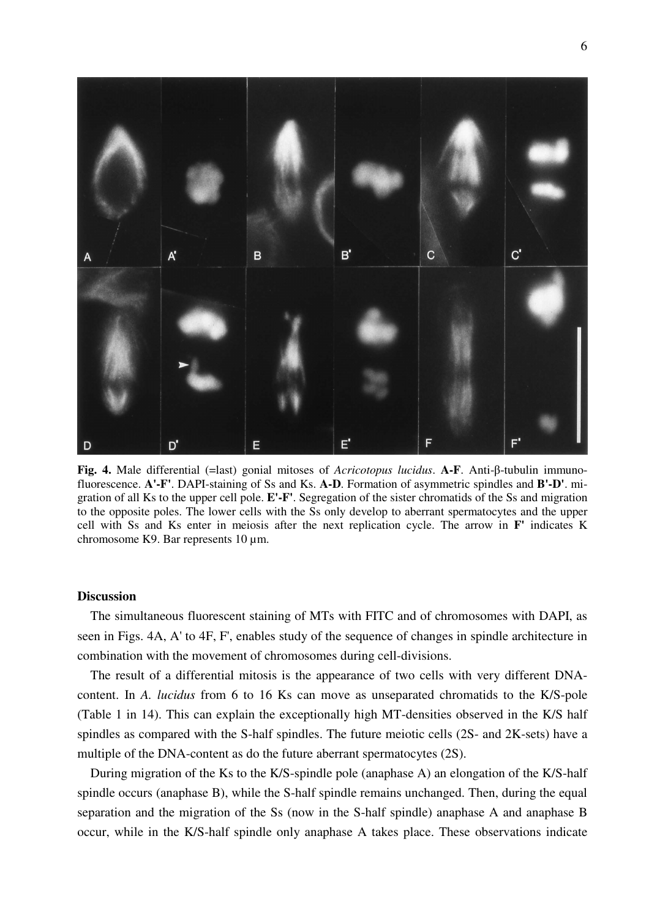

**Fig. 4.** Male differential (=last) gonial mitoses of *Acricotopus lucidus*. **A-F**. Anti-β-tubulin immunofluorescence. **A'-F'**. DAPI-staining of Ss and Ks. **A-D**. Formation of asymmetric spindles and **B'-D'**. migration of all Ks to the upper cell pole. **E'-F'**. Segregation of the sister chromatids of the Ss and migration to the opposite poles. The lower cells with the Ss only develop to aberrant spermatocytes and the upper cell with Ss and Ks enter in meiosis after the next replication cycle. The arrow in **F'** indicates K chromosome K9. Bar represents 10 µm.

## **Discussion**

 The simultaneous fluorescent staining of MTs with FITC and of chromosomes with DAPI, as seen in Figs. 4A, A' to 4F, F', enables study of the sequence of changes in spindle architecture in combination with the movement of chromosomes during cell-divisions.

 The result of a differential mitosis is the appearance of two cells with very different DNAcontent. In *A. lucidus* from 6 to 16 Ks can move as unseparated chromatids to the K/S-pole (Table 1 in 14). This can explain the exceptionally high MT-densities observed in the K/S half spindles as compared with the S-half spindles. The future meiotic cells (2S- and 2K-sets) have a multiple of the DNA-content as do the future aberrant spermatocytes (2S).

 During migration of the Ks to the K/S-spindle pole (anaphase A) an elongation of the K/S-half spindle occurs (anaphase B), while the S-half spindle remains unchanged. Then, during the equal separation and the migration of the Ss (now in the S-half spindle) anaphase A and anaphase B occur, while in the K/S-half spindle only anaphase A takes place. These observations indicate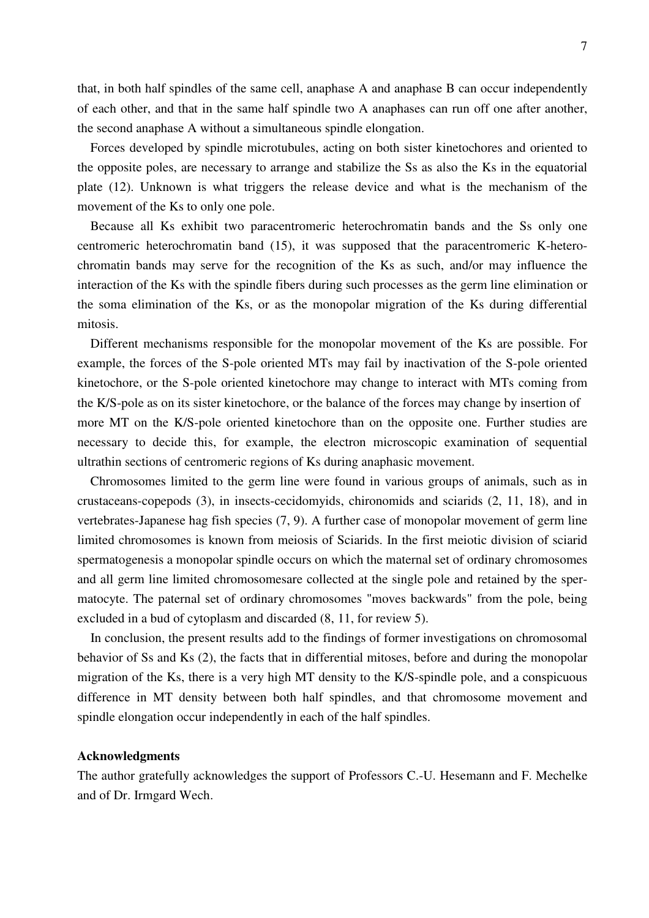that, in both half spindles of the same cell, anaphase A and anaphase B can occur independently of each other, and that in the same half spindle two A anaphases can run off one after another, the second anaphase A without a simultaneous spindle elongation.

 Forces developed by spindle microtubules, acting on both sister kinetochores and oriented to the opposite poles, are necessary to arrange and stabilize the Ss as also the Ks in the equatorial plate (12). Unknown is what triggers the release device and what is the mechanism of the movement of the Ks to only one pole.

 Because all Ks exhibit two paracentromeric heterochromatin bands and the Ss only one centromeric heterochromatin band (15), it was supposed that the paracentromeric K-heterochromatin bands may serve for the recognition of the Ks as such, and/or may influence the interaction of the Ks with the spindle fibers during such processes as the germ line elimination or the soma elimination of the Ks, or as the monopolar migration of the Ks during differential mitosis.

 Different mechanisms responsible for the monopolar movement of the Ks are possible. For example, the forces of the S-pole oriented MTs may fail by inactivation of the S-pole oriented kinetochore, or the S-pole oriented kinetochore may change to interact with MTs coming from the K/S-pole as on its sister kinetochore, or the balance of the forces may change by insertion of more MT on the K/S-pole oriented kinetochore than on the opposite one. Further studies are necessary to decide this, for example, the electron microscopic examination of sequential ultrathin sections of centromeric regions of Ks during anaphasic movement.

 Chromosomes limited to the germ line were found in various groups of animals, such as in crustaceans-copepods (3), in insects-cecidomyids, chironomids and sciarids (2, 11, 18), and in vertebrates-Japanese hag fish species (7, 9). A further case of monopolar movement of germ line limited chromosomes is known from meiosis of Sciarids. In the first meiotic division of sciarid spermatogenesis a monopolar spindle occurs on which the maternal set of ordinary chromosomes and all germ line limited chromosomesare collected at the single pole and retained by the spermatocyte. The paternal set of ordinary chromosomes "moves backwards" from the pole, being excluded in a bud of cytoplasm and discarded (8, 11, for review 5).

 In conclusion, the present results add to the findings of former investigations on chromosomal behavior of Ss and Ks (2), the facts that in differential mitoses, before and during the monopolar migration of the Ks, there is a very high MT density to the K/S-spindle pole, and a conspicuous difference in MT density between both half spindles, and that chromosome movement and spindle elongation occur independently in each of the half spindles.

## **Acknowledgments**

The author gratefully acknowledges the support of Professors C.-U. Hesemann and F. Mechelke and of Dr. Irmgard Wech.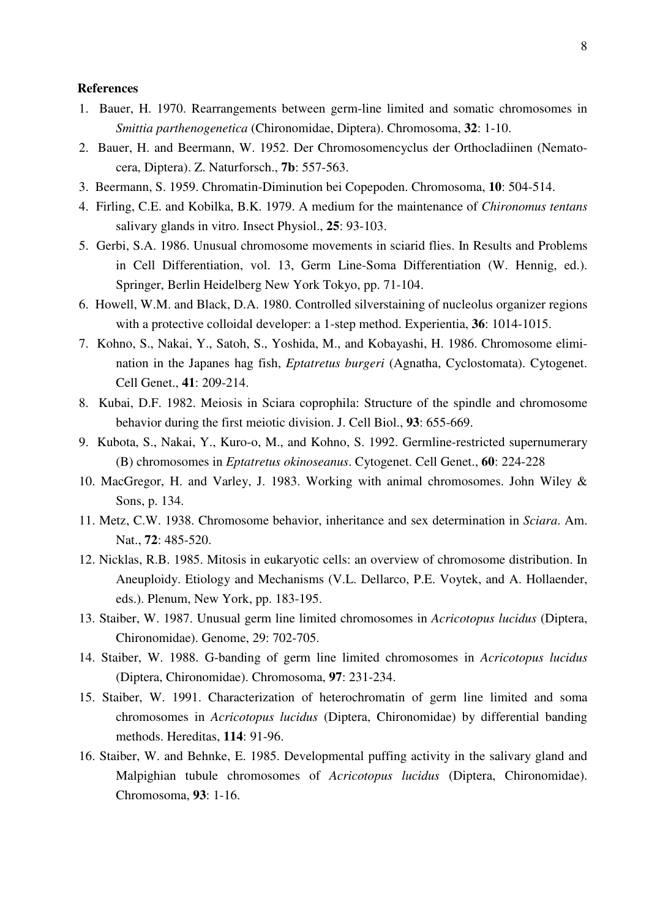# **References**

- 1. Bauer, H. 1970. Rearrangements between germ-line limited and somatic chromosomes in *Smittia parthenogenetica* (Chironomidae, Diptera). Chromosoma, **32**: 1-10.
- 2. Bauer, H. and Beermann, W. 1952. Der Chromosomencyclus der Orthocladiinen (Nematocera, Diptera). Z. Naturforsch., **7b**: 557-563.
- 3. Beermann, S. 1959. Chromatin-Diminution bei Copepoden. Chromosoma, **10**: 504-514.
- 4. Firling, C.E. and Kobilka, B.K. 1979. A medium for the maintenance of *Chironomus tentans* salivary glands in vitro. Insect Physiol., **25**: 93-103.
- 5. Gerbi, S.A. 1986. Unusual chromosome movements in sciarid flies. In Results and Problems in Cell Differentiation, vol. 13, Germ Line-Soma Differentiation (W. Hennig, ed.). Springer, Berlin Heidelberg New York Tokyo, pp. 71-104.
- 6. Howell, W.M. and Black, D.A. 1980. Controlled silverstaining of nucleolus organizer regions with a protective colloidal developer: a 1-step method. Experientia, **36**: 1014-1015.
- 7. Kohno, S., Nakai, Y., Satoh, S., Yoshida, M., and Kobayashi, H. 1986. Chromosome elimination in the Japanes hag fish, *Eptatretus burgeri* (Agnatha, Cyclostomata). Cytogenet. Cell Genet., **41**: 209-214.
- 8. Kubai, D.F. 1982. Meiosis in Sciara coprophila: Structure of the spindle and chromosome behavior during the first meiotic division. J. Cell Biol., **93**: 655-669.
- 9. Kubota, S., Nakai, Y., Kuro-o, M., and Kohno, S. 1992. Germline-restricted supernumerary (B) chromosomes in *Eptatretus okinoseanus*. Cytogenet. Cell Genet., **60**: 224-228
- 10. MacGregor, H. and Varley, J. 1983. Working with animal chromosomes. John Wiley & Sons, p. 134.
- 11. Metz, C.W. 1938. Chromosome behavior, inheritance and sex determination in *Sciara*. Am. Nat., **72**: 485-520.
- 12. Nicklas, R.B. 1985. Mitosis in eukaryotic cells: an overview of chromosome distribution. In Aneuploidy. Etiology and Mechanisms (V.L. Dellarco, P.E. Voytek, and A. Hollaender, eds.). Plenum, New York, pp. 183-195.
- 13. Staiber, W. 1987. Unusual germ line limited chromosomes in *Acricotopus lucidus* (Diptera, Chironomidae). Genome, 29: 702-705.
- 14. Staiber, W. 1988. G-banding of germ line limited chromosomes in *Acricotopus lucidus* (Diptera, Chironomidae). Chromosoma, **97**: 231-234.
- 15. Staiber, W. 1991. Characterization of heterochromatin of germ line limited and soma chromosomes in *Acricotopus lucidus* (Diptera, Chironomidae) by differential banding methods. Hereditas, **114**: 91-96.
- 16. Staiber, W. and Behnke, E. 1985. Developmental puffing activity in the salivary gland and Malpighian tubule chromosomes of *Acricotopus lucidus* (Diptera, Chironomidae). Chromosoma, **93**: 1-16.